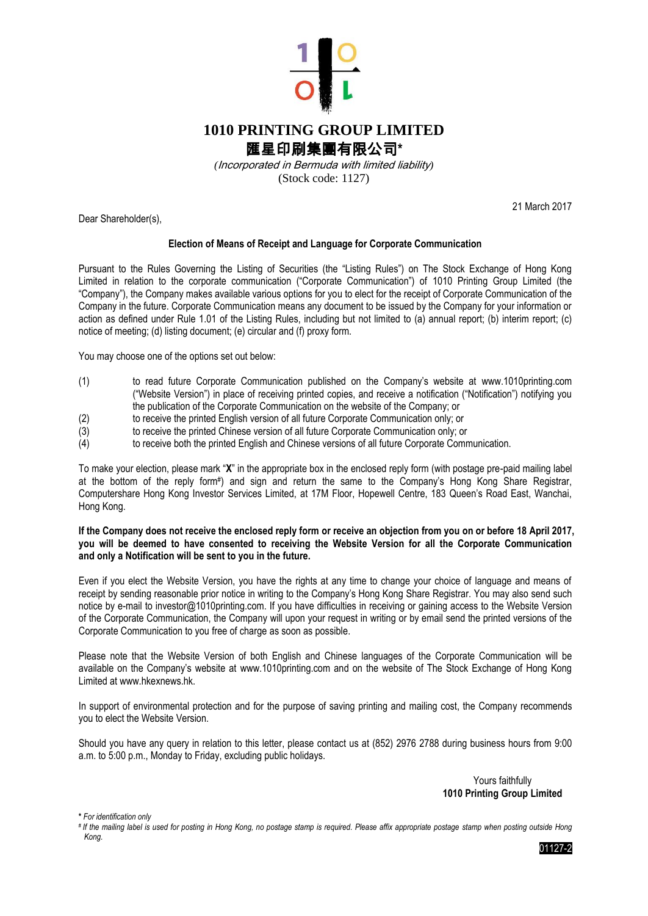

## **1010 PRINTING GROUP LIMITED** 匯星印刷集團有限公司**\***

*(*Incorporated in Bermuda with limited liability*)*

(Stock code: 1127)

21 March 2017

Dear Shareholder(s),

## **Election of Means of Receipt and Language for Corporate Communication**

Pursuant to the Rules Governing the Listing of Securities (the "Listing Rules") on The Stock Exchange of Hong Kong Limited in relation to the corporate communication ("Corporate Communication") of 1010 Printing Group Limited (the "Company"), the Company makes available various options for you to elect for the receipt of Corporate Communication of the Company in the future. Corporate Communication means any document to be issued by the Company for your information or action as defined under Rule 1.01 of the Listing Rules, including but not limited to (a) annual report; (b) interim report; (c) notice of meeting; (d) listing document; (e) circular and (f) proxy form.

You may choose one of the options set out below:

- (1) to read future Corporate Communication published on the Company's website at www.1010printing.com ("Website Version") in place of receiving printed copies, and receive a notification ("Notification") notifying you the publication of the Corporate Communication on the website of the Company; or
- (2) to receive the printed English version of all future Corporate Communication only; or
- (3) to receive the printed Chinese version of all future Corporate Communication only; or
- (4) to receive both the printed English and Chinese versions of all future Corporate Communication.

To make your election, please mark "**X**" in the appropriate box in the enclosed reply form (with postage pre-paid mailing label at the bottom of the reply form# ) and sign and return the same to the Company's Hong Kong Share Registrar, Computershare Hong Kong Investor Services Limited, at 17M Floor, Hopewell Centre, 183 Queen's Road East, Wanchai, Hong Kong.

**If the Company does not receive the enclosed reply form or receive an objection from you on or before 18 April 2017, you will be deemed to have consented to receiving the Website Version for all the Corporate Communication and only a Notification will be sent to you in the future.**

Even if you elect the Website Version, you have the rights at any time to change your choice of language and means of receipt by sending reasonable prior notice in writing to the Company's Hong Kong Share Registrar. You may also send such notice by e-mail to investor@1010printing.com. If you have difficulties in receiving or gaining access to the Website Version of the Corporate Communication, the Company will upon your request in writing or by email send the printed versions of the Corporate Communication to you free of charge as soon as possible.

Please note that the Website Version of both English and Chinese languages of the Corporate Communication will be available on the Company's website at www.1010printing.com and on the website of The Stock Exchange of Hong Kong Limited at www.hkexnews.hk.

In support of environmental protection and for the purpose of saving printing and mailing cost, the Company recommends you to elect the Website Version.

Should you have any query in relation to this letter, please contact us at (852) 2976 2788 during business hours from 9:00 a.m. to 5:00 p.m., Monday to Friday, excluding public holidays.

> Yours faithfully **1010 Printing Group Limited**

**\*** *For identification only*

01127-2

*<sup>#</sup> If the mailing label is used for posting in Hong Kong, no postage stamp is required. Please affix appropriate postage stamp when posting outside Hong Kong.*